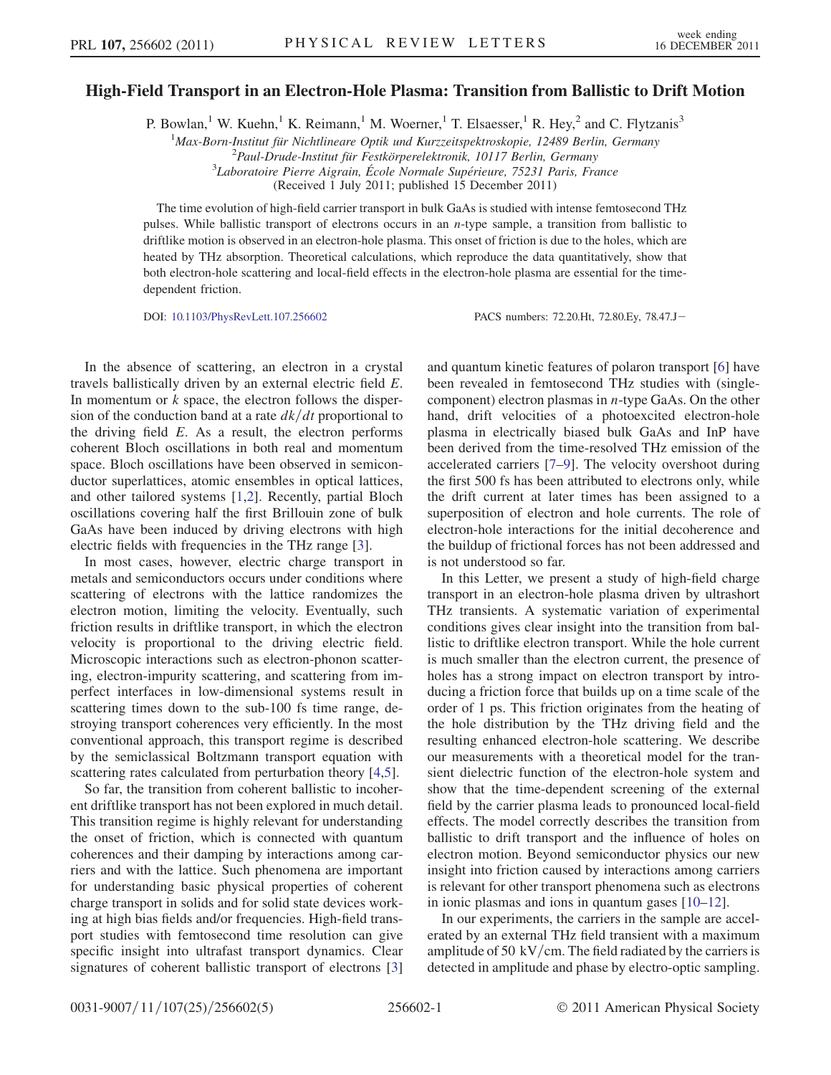## High-Field Transport in an Electron-Hole Plasma: Transition from Ballistic to Drift Motion

P. Bowlan,<sup>1</sup> W. Kuehn,<sup>1</sup> K. Reimann,<sup>1</sup> M. Woerner,<sup>1</sup> T. Elsaesser,<sup>1</sup> R. Hey,<sup>2</sup> and C. Flytzanis<sup>3</sup>

<sup>1</sup>Max-Born-Institut für Nichtlineare Optik und Kurzzeitspektroskopie, 12489 Berlin, Germany<br><sup>2</sup>Paul Drude Institut für Eestkörnerelektronik 10117 Berlin, Germany

 $2$ Paul-Drude-Institut für Festkörperelektronik, 10117 Berlin, Germany

 ${}^{3}$ Laboratoire Pierre Aigrain, École Normale Supérieure, 75231 Paris, France

(Received 1 July 2011; published 15 December 2011)

The time evolution of high-field carrier transport in bulk GaAs is studied with intense femtosecond THz pulses. While ballistic transport of electrons occurs in an n-type sample, a transition from ballistic to driftlike motion is observed in an electron-hole plasma. This onset of friction is due to the holes, which are heated by THz absorption. Theoretical calculations, which reproduce the data quantitatively, show that both electron-hole scattering and local-field effects in the electron-hole plasma are essential for the timedependent friction.

DOI: [10.1103/PhysRevLett.107.256602](http://dx.doi.org/10.1103/PhysRevLett.107.256602) PACS numbers: 72.20.Ht, 72.80.Ey, 78.47.J

In the absence of scattering, an electron in a crystal travels ballistically driven by an external electric field E. In momentum or  $k$  space, the electron follows the dispersion of the conduction band at a rate  $dk/dt$  proportional to the driving field  $E$ . As a result, the electron performs coherent Bloch oscillations in both real and momentum space. Bloch oscillations have been observed in semiconductor superlattices, atomic ensembles in optical lattices, and other tailored systems [\[1](#page-3-0),[2](#page-3-1)]. Recently, partial Bloch oscillations covering half the first Brillouin zone of bulk GaAs have been induced by driving electrons with high electric fields with frequencies in the THz range [\[3](#page-3-2)].

In most cases, however, electric charge transport in metals and semiconductors occurs under conditions where scattering of electrons with the lattice randomizes the electron motion, limiting the velocity. Eventually, such friction results in driftlike transport, in which the electron velocity is proportional to the driving electric field. Microscopic interactions such as electron-phonon scattering, electron-impurity scattering, and scattering from imperfect interfaces in low-dimensional systems result in scattering times down to the sub-100 fs time range, destroying transport coherences very efficiently. In the most conventional approach, this transport regime is described by the semiclassical Boltzmann transport equation with scattering rates calculated from perturbation theory [\[4,](#page-3-3)[5](#page-3-4)].

So far, the transition from coherent ballistic to incoherent driftlike transport has not been explored in much detail. This transition regime is highly relevant for understanding the onset of friction, which is connected with quantum coherences and their damping by interactions among carriers and with the lattice. Such phenomena are important for understanding basic physical properties of coherent charge transport in solids and for solid state devices working at high bias fields and/or frequencies. High-field transport studies with femtosecond time resolution can give specific insight into ultrafast transport dynamics. Clear signatures of coherent ballistic transport of electrons [\[3\]](#page-3-2) and quantum kinetic features of polaron transport [\[6](#page-3-5)] have been revealed in femtosecond THz studies with (singlecomponent) electron plasmas in n-type GaAs. On the other hand, drift velocities of a photoexcited electron-hole plasma in electrically biased bulk GaAs and InP have been derived from the time-resolved THz emission of the accelerated carriers [[7](#page-3-6)[–9\]](#page-3-7). The velocity overshoot during the first 500 fs has been attributed to electrons only, while the drift current at later times has been assigned to a superposition of electron and hole currents. The role of electron-hole interactions for the initial decoherence and the buildup of frictional forces has not been addressed and is not understood so far.

In this Letter, we present a study of high-field charge transport in an electron-hole plasma driven by ultrashort THz transients. A systematic variation of experimental conditions gives clear insight into the transition from ballistic to driftlike electron transport. While the hole current is much smaller than the electron current, the presence of holes has a strong impact on electron transport by introducing a friction force that builds up on a time scale of the order of 1 ps. This friction originates from the heating of the hole distribution by the THz driving field and the resulting enhanced electron-hole scattering. We describe our measurements with a theoretical model for the transient dielectric function of the electron-hole system and show that the time-dependent screening of the external field by the carrier plasma leads to pronounced local-field effects. The model correctly describes the transition from ballistic to drift transport and the influence of holes on electron motion. Beyond semiconductor physics our new insight into friction caused by interactions among carriers is relevant for other transport phenomena such as electrons in ionic plasmas and ions in quantum gases [[10](#page-3-8)[–12\]](#page-4-0).

In our experiments, the carriers in the sample are accelerated by an external THz field transient with a maximum amplitude of 50 kV/cm. The field radiated by the carriers is detected in amplitude and phase by electro-optic sampling.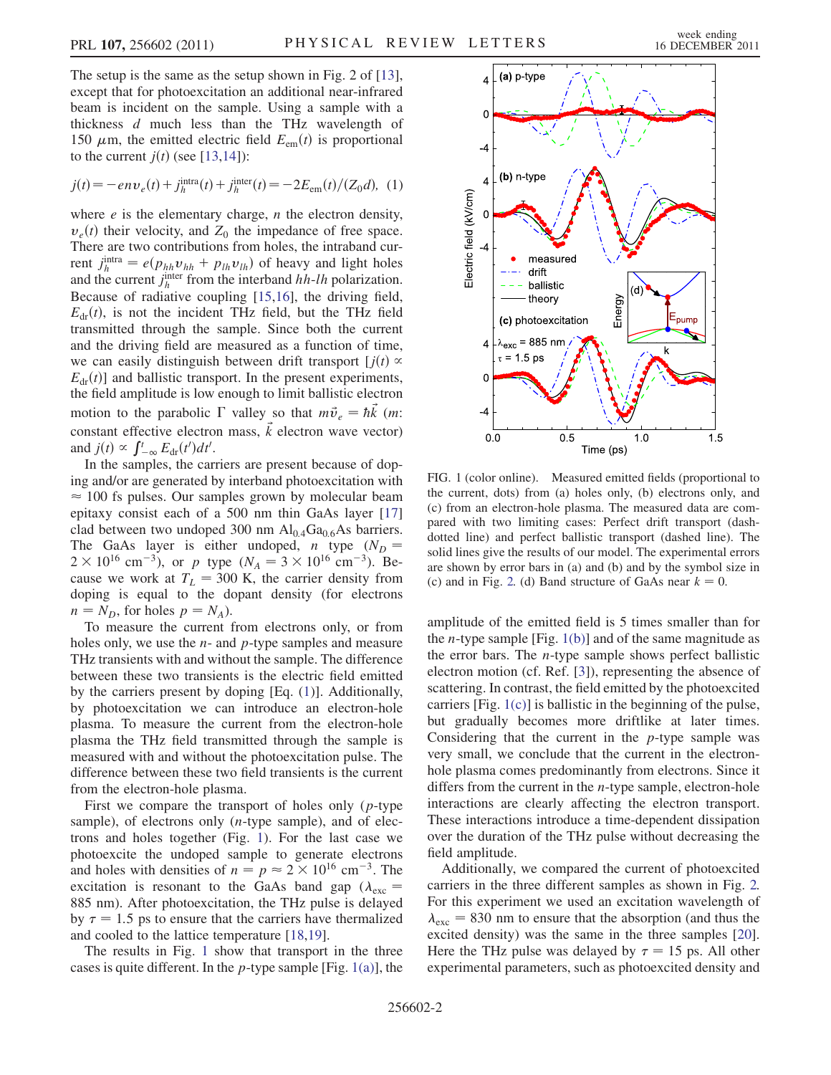The setup is the same as the setup shown in Fig. 2 of [\[13\]](#page-4-1), except that for photoexcitation an additional near-infrared beam is incident on the sample. Using a sample with a thickness d much less than the THz wavelength of 150  $\mu$ m, the emitted electric field  $E_{em}(t)$  is proportional to the current  $j(t)$  (see [[13](#page-4-1),[14](#page-4-2)]):

<span id="page-1-0"></span>
$$
j(t) = -en\nu_e(t) + j_h^{\text{intra}}(t) + j_h^{\text{inter}}(t) = -2E_{\text{em}}(t)/(Z_0 d), (1)
$$

where  $e$  is the elementary charge,  $n$  the electron density,  $v_e(t)$  their velocity, and  $Z_0$  the impedance of free space. There are two contributions from holes, the intraband current  $j_h^{\text{intra}} = e(p_{hh}v_{hh} + p_{lh}v_{lh})$  of heavy and light holes and the current  $j_h^{\text{inter}}$  from the interband  $hh$ -lh polarization. Because of radiative coupling [\[15](#page-4-3)[,16\]](#page-4-4), the driving field,  $E_{dr}(t)$ , is not the incident THz field, but the THz field transmitted through the sample. Since both the current and the driving field are measured as a function of time, we can easily distinguish between drift transport  $j(t) \propto$  $E_{dr}(t)$ ] and ballistic transport. In the present experiments, the field amplitude is low enough to limit ballistic electron motion to the parabolic  $\Gamma$  valley so that  $m\vec{v}_e = \hbar \vec{k}$  (*m*: constant effective electron mass,  $\vec{k}$  electron wave vector) and  $j(t) \propto \int_{-\infty}^{t} E_{dr}(t')dt'$ .

In the samples, the carriers are present because of doping and/or are generated by interband photoexcitation with  $\approx$  100 fs pulses. Our samples grown by molecular beam epitaxy consist each of a 500 nm thin GaAs layer [\[17\]](#page-4-5) clad between two undoped 300 nm  $Al<sub>0.4</sub>Ga<sub>0.6</sub>As barriers.$ The GaAs layer is either undoped, *n* type  $(N_D =$  $2 \times 10^{16}$  cm<sup>-3</sup>), or p type  $(N_A = 3 \times 10^{16}$  cm<sup>-3</sup>). Because we work at  $T_L = 300$  K, the carrier density from doping is equal to the dopant density (for electrons  $n = N_D$ , for holes  $p = N_A$ ).

To measure the current from electrons only, or from holes only, we use the  $n-$  and  $p$ -type samples and measure THz transients with and without the sample. The difference between these two transients is the electric field emitted by the carriers present by doping [Eq. ([1\)](#page-1-0)]. Additionally, by photoexcitation we can introduce an electron-hole plasma. To measure the current from the electron-hole plasma the THz field transmitted through the sample is measured with and without the photoexcitation pulse. The difference between these two field transients is the current from the electron-hole plasma.

First we compare the transport of holes only  $(p$ -type sample), of electrons only (*n*-type sample), and of electrons and holes together (Fig. [1](#page-1-1)). For the last case we photoexcite the undoped sample to generate electrons and holes with densities of  $n = p \approx 2 \times 10^{16}$  cm<sup>-3</sup>. The excitation is resonant to the GaAs band gap ( $\lambda_{\text{exc}} =$ 885 nm). After photoexcitation, the THz pulse is delayed by  $\tau = 1.5$  ps to ensure that the carriers have thermalized and cooled to the lattice temperature [[18](#page-4-6),[19](#page-4-7)].

The results in Fig. [1](#page-1-1) show that transport in the three cases is quite different. In the *p*-type sample [Fig. [1\(a\)\]](#page-1-2), the

<span id="page-1-1"></span>

<span id="page-1-2"></span>FIG. 1 (color online). Measured emitted fields (proportional to the current, dots) from (a) holes only, (b) electrons only, and (c) from an electron-hole plasma. The measured data are compared with two limiting cases: Perfect drift transport (dashdotted line) and perfect ballistic transport (dashed line). The solid lines give the results of our model. The experimental errors are shown by error bars in (a) and (b) and by the symbol size in (c) and in Fig. [2.](#page-2-0) (d) Band structure of GaAs near  $k = 0$ .

amplitude of the emitted field is 5 times smaller than for the *n*-type sample [Fig.  $1(b)$ ] and of the same magnitude as the error bars. The n-type sample shows perfect ballistic electron motion (cf. Ref. [\[3\]](#page-3-2)), representing the absence of scattering. In contrast, the field emitted by the photoexcited carriers  $[Fig. 1(c)]$  $[Fig. 1(c)]$  $[Fig. 1(c)]$  is ballistic in the beginning of the pulse, but gradually becomes more driftlike at later times. Considering that the current in the p-type sample was very small, we conclude that the current in the electronhole plasma comes predominantly from electrons. Since it differs from the current in the n-type sample, electron-hole interactions are clearly affecting the electron transport. These interactions introduce a time-dependent dissipation over the duration of the THz pulse without decreasing the field amplitude.

Additionally, we compared the current of photoexcited carriers in the three different samples as shown in Fig. [2.](#page-2-0) For this experiment we used an excitation wavelength of  $\lambda_{\rm exc}$  = 830 nm to ensure that the absorption (and thus the excited density) was the same in the three samples [[20\]](#page-4-8). Here the THz pulse was delayed by  $\tau = 15$  ps. All other experimental parameters, such as photoexcited density and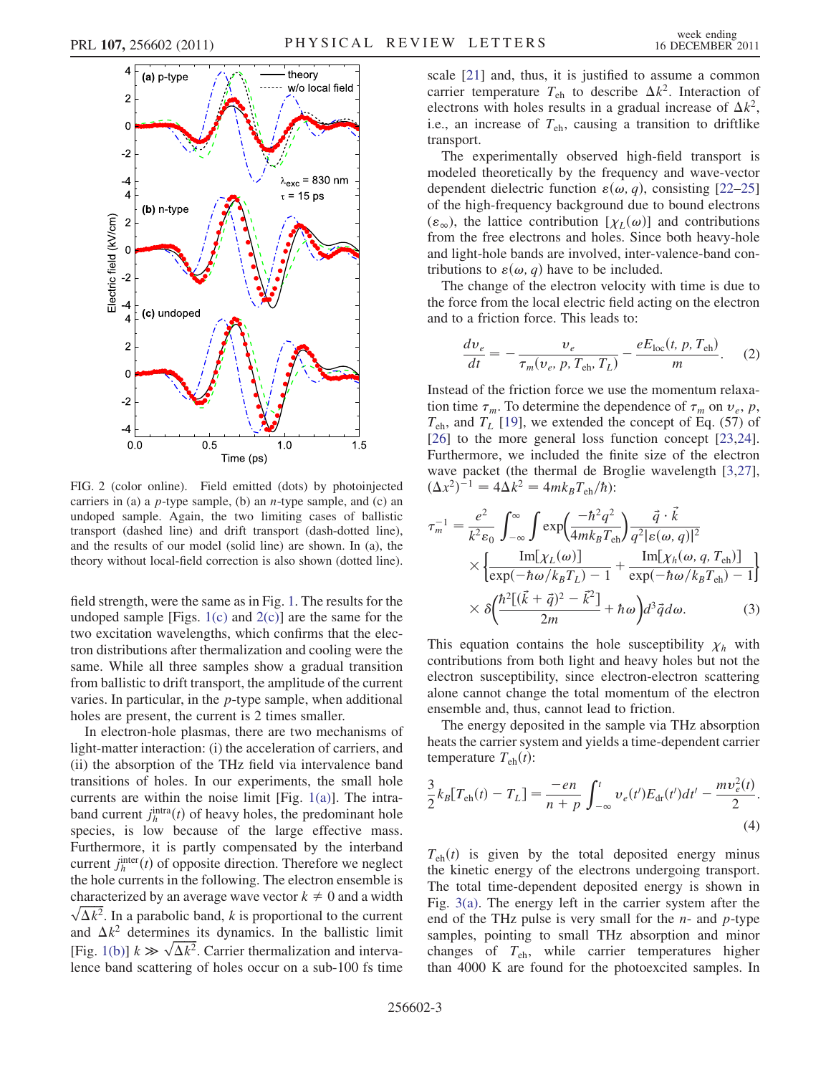<span id="page-2-0"></span>

<span id="page-2-1"></span>FIG. 2 (color online). Field emitted (dots) by photoinjected carriers in (a) a  $p$ -type sample, (b) an  $n$ -type sample, and (c) an undoped sample. Again, the two limiting cases of ballistic transport (dashed line) and drift transport (dash-dotted line), and the results of our model (solid line) are shown. In (a), the theory without local-field correction is also shown (dotted line).

field strength, were the same as in Fig. [1](#page-1-1). The results for the undoped sample [Figs.  $1(c)$  and  $2(c)$ ] are the same for the two excitation wavelengths, which confirms that the electron distributions after thermalization and cooling were the same. While all three samples show a gradual transition from ballistic to drift transport, the amplitude of the current varies. In particular, in the  $p$ -type sample, when additional holes are present, the current is 2 times smaller.

In electron-hole plasmas, there are two mechanisms of light-matter interaction: (i) the acceleration of carriers, and (ii) the absorption of the THz field via intervalence band transitions of holes. In our experiments, the small hole currents are within the noise limit [Fig. [1\(a\)](#page-1-2)]. The intraband current  $j_h^{\text{intra}}(t)$  of heavy holes, the predominant hole species, is low because of the large effective mass. Furthermore, it is partly compensated by the interband current  $j_h^{\text{inter}}(t)$  of opposite direction. Therefore we neglect the hole currents in the following. The electron ensemble is characterized by an average wave vector  $k \neq 0$  and a width  $\sqrt{\Delta k^2}$ . In a parabolic band, k is proportional to the current and  $\Delta k^2$  determines its dynamics. In the ballistic limit [Fig. [1\(b\)](#page-1-2)]  $k \gg \sqrt{\Delta k^2}$ . Carrier thermalization and intervalence band scattering of holes occur on a sub-100 fs time scale [[21](#page-4-9)] and, thus, it is justified to assume a common carrier temperature  $T_{eh}$  to describe  $\Delta k^2$ . Interaction of electrons with holes results in a gradual increase of  $\Delta k^2$ , i.e., an increase of  $T_{eh}$ , causing a transition to driftlike transport.

The experimentally observed high-field transport is modeled theoretically by the frequency and wave-vector dependent dielectric function  $\varepsilon(\omega, q)$ , consisting [\[22](#page-4-10)[–25\]](#page-4-11) of the high-frequency background due to bound electrons  $(\varepsilon_{\infty})$ , the lattice contribution  $[\chi_L(\omega)]$  and contributions from the free electrons and holes. Since both heavy-hole and light-hole bands are involved, inter-valence-band contributions to  $\varepsilon(\omega, q)$  have to be included.

The change of the electron velocity with time is due to the force from the local electric field acting on the electron and to a friction force. This leads to:

$$
\frac{dv_e}{dt} = -\frac{v_e}{\tau_m(v_e, p, T_{\text{eh}}, T_L)} - \frac{eE_{\text{loc}}(t, p, T_{\text{eh}})}{m}.
$$
 (2)

Instead of the friction force we use the momentum relaxation time  $\tau_m$ . To determine the dependence of  $\tau_m$  on  $v_e$ , p,  $T_{\text{eh}}$ , and  $T_L$  [\[19\]](#page-4-7), we extended the concept of Eq. (57) of [\[26\]](#page-4-12) to the more general loss function concept [\[23,](#page-4-13)[24\]](#page-4-14). Furthermore, we included the finite size of the electron wave packet (the thermal de Broglie wavelength [[3,](#page-3-2)[27\]](#page-4-15),  $(\Delta x^2)^{-1} = 4\Delta k^2 = 4mk_B T_{\text{eh}}/\hbar$ :

$$
\tau_m^{-1} = \frac{e^2}{k^2 \varepsilon_0} \int_{-\infty}^{\infty} \int \exp\left(\frac{-\hbar^2 q^2}{4mk_B T_{\text{eh}}}\right) \frac{\vec{q} \cdot \vec{k}}{q^2 |\varepsilon(\omega, q)|^2} \times \left\{\frac{\text{Im}[\chi_L(\omega)]}{\exp(-\hbar \omega/k_B T_L) - 1} + \frac{\text{Im}[\chi_h(\omega, q, T_{\text{eh}})]}{\exp(-\hbar \omega/k_B T_{\text{eh}}) - 1}\right\} \times \delta\left(\frac{\hbar^2 [(\vec{k} + \vec{q})^2 - \vec{k}^2]}{2m} + \hbar \omega\right) d^3 \vec{q} d\omega. \tag{3}
$$

This equation contains the hole susceptibility  $\chi_h$  with contributions from both light and heavy holes but not the electron susceptibility, since electron-electron scattering alone cannot change the total momentum of the electron ensemble and, thus, cannot lead to friction.

The energy deposited in the sample via THz absorption heats the carrier system and yields a time-dependent carrier temperature  $T_{\text{eh}}(t)$ :

$$
\frac{3}{2}k_B[T_{eh}(t) - T_L] = \frac{-en}{n+p} \int_{-\infty}^t v_e(t')E_{dr}(t')dt' - \frac{mv_e^2(t)}{2}.
$$
\n(4)

 $T_{eh}(t)$  is given by the total deposited energy minus the kinetic energy of the electrons undergoing transport. The total time-dependent deposited energy is shown in Fig.  $3(a)$ . The energy left in the carrier system after the end of the THz pulse is very small for the  $n-$  and  $p$ -type samples, pointing to small THz absorption and minor changes of  $T_{eh}$ , while carrier temperatures higher than 4000 K are found for the photoexcited samples. In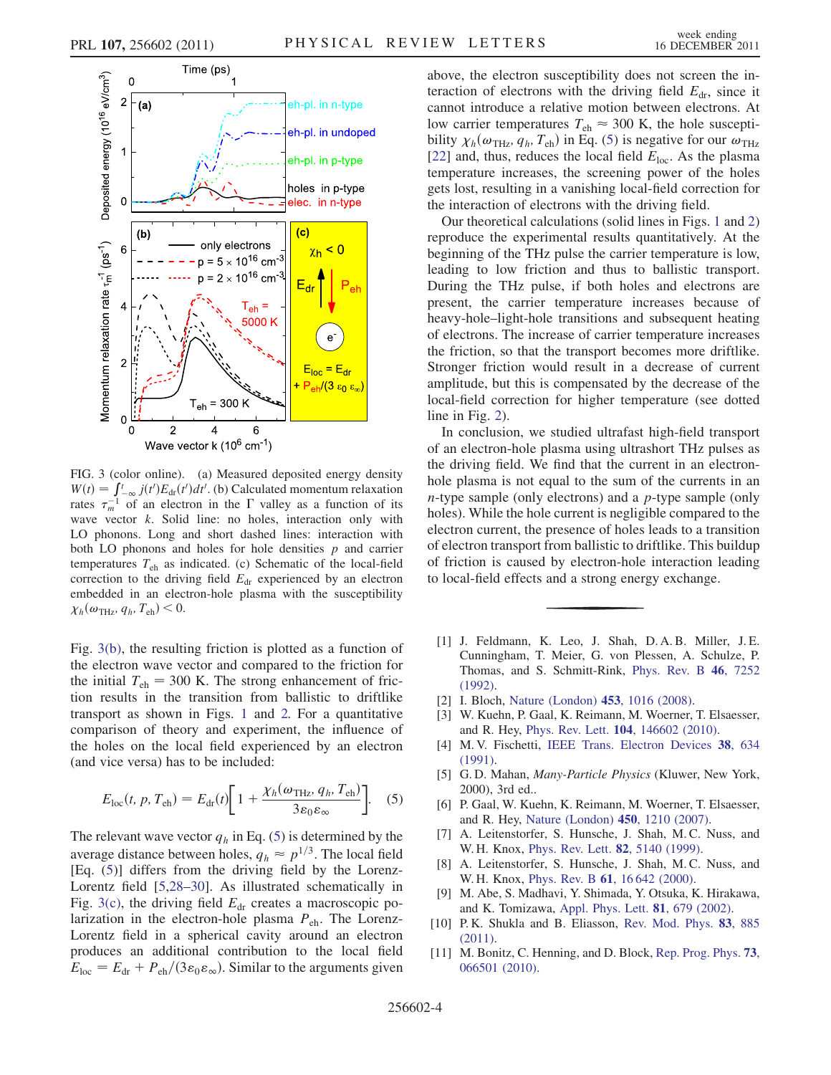



<span id="page-3-9"></span>FIG. 3 (color online). (a) Measured deposited energy density  $W(t) = \int_{-\infty}^{t} j(t') E_{dr}(t') dt'$ . (b) Calculated momentum relaxation rates  $\tau_m^{-1}$  of an electron in the  $\Gamma$  valley as a function of its wave vector k. Solid line: no holes, interaction only with LO phonons. Long and short dashed lines: interaction with both LO phonons and holes for hole densities  $p$  and carrier temperatures  $T_{eh}$  as indicated. (c) Schematic of the local-field correction to the driving field  $E<sub>dr</sub>$  experienced by an electron embedded in an electron-hole plasma with the susceptibility  $\chi_h(\omega_{\text{THz}}, q_h, T_{\text{eh}})$  < 0.

Fig. [3\(b\)](#page-3-9), the resulting friction is plotted as a function of the electron wave vector and compared to the friction for the initial  $T_{eh} = 300$  K. The strong enhancement of friction results in the transition from ballistic to driftlike transport as shown in Figs. [1](#page-1-1) and [2.](#page-2-0) For a quantitative comparison of theory and experiment, the influence of the holes on the local field experienced by an electron (and vice versa) has to be included:

<span id="page-3-10"></span>
$$
E_{\rm loc}(t, p, T_{\rm eh}) = E_{\rm dr}(t) \left[ 1 + \frac{\chi_h(\omega_{\rm THz}, q_h, T_{\rm eh})}{3\varepsilon_0\varepsilon_{\infty}} \right]. \quad (5)
$$

The relevant wave vector  $q_h$  in Eq. ([5\)](#page-3-10) is determined by the average distance between holes,  $q_h \approx p^{1/3}$ . The local field [Eq. [\(5\)](#page-3-10)] differs from the driving field by the Lorenz-Lorentz field [[5](#page-3-4),[28](#page-4-16)[–30\]](#page-4-17). As illustrated schematically in Fig. [3\(c\)](#page-3-9), the driving field  $E_{dr}$  creates a macroscopic polarization in the electron-hole plasma  $P_{eh}$ . The Lorenz-Lorentz field in a spherical cavity around an electron produces an additional contribution to the local field  $E_{\text{loc}} = E_{\text{dr}} + P_{\text{eh}}/(3\epsilon_0 \epsilon_{\infty})$ . Similar to the arguments given above, the electron susceptibility does not screen the interaction of electrons with the driving field  $E_{dr}$ , since it cannot introduce a relative motion between electrons. At low carrier temperatures  $T_{eh} \approx 300$  K, the hole susceptibility  $\chi_h(\omega_{\text{THz}}, q_h, T_{eh})$  in Eq. [\(5](#page-3-10)) is negative for our  $\omega_{\text{THz}}$ [\[22\]](#page-4-10) and, thus, reduces the local field  $E_{loc}$ . As the plasma temperature increases, the screening power of the holes gets lost, resulting in a vanishing local-field correction for the interaction of electrons with the driving field.

Our theoretical calculations (solid lines in Figs. [1](#page-1-1) and [2\)](#page-2-0) reproduce the experimental results quantitatively. At the beginning of the THz pulse the carrier temperature is low, leading to low friction and thus to ballistic transport. During the THz pulse, if both holes and electrons are present, the carrier temperature increases because of heavy-hole–light-hole transitions and subsequent heating of electrons. The increase of carrier temperature increases the friction, so that the transport becomes more driftlike. Stronger friction would result in a decrease of current amplitude, but this is compensated by the decrease of the local-field correction for higher temperature (see dotted line in Fig. [2\)](#page-2-0).

In conclusion, we studied ultrafast high-field transport of an electron-hole plasma using ultrashort THz pulses as the driving field. We find that the current in an electronhole plasma is not equal to the sum of the currents in an *n*-type sample (only electrons) and a *p*-type sample (only holes). While the hole current is negligible compared to the electron current, the presence of holes leads to a transition of electron transport from ballistic to driftlike. This buildup of friction is caused by electron-hole interaction leading to local-field effects and a strong energy exchange.

- <span id="page-3-0"></span>[1] J. Feldmann, K. Leo, J. Shah, D. A. B. Miller, J. E. Cunningham, T. Meier, G. von Plessen, A. Schulze, P. Thomas, and S. Schmitt-Rink, [Phys. Rev. B](http://dx.doi.org/10.1103/PhysRevB.46.7252) 46, 7252 [\(1992\)](http://dx.doi.org/10.1103/PhysRevB.46.7252).
- <span id="page-3-2"></span><span id="page-3-1"></span>[2] I. Bloch, [Nature \(London\)](http://dx.doi.org/10.1038/nature07126) 453, 1016 (2008).
- [3] W. Kuehn, P. Gaal, K. Reimann, M. Woerner, T. Elsaesser, and R. Hey, Phys. Rev. Lett. 104[, 146602 \(2010\)](http://dx.doi.org/10.1103/PhysRevLett.104.146602).
- <span id="page-3-3"></span>[4] M. V. Fischetti, [IEEE Trans. Electron Devices](http://dx.doi.org/10.1109/16.75176) 38, 634 [\(1991\)](http://dx.doi.org/10.1109/16.75176).
- <span id="page-3-4"></span>[5] G. D. Mahan, Many-Particle Physics (Kluwer, New York, 2000), 3rd ed..
- <span id="page-3-5"></span>[6] P. Gaal, W. Kuehn, K. Reimann, M. Woerner, T. Elsaesser, and R. Hey, [Nature \(London\)](http://dx.doi.org/10.1038/nature06399) 450, 1210 (2007).
- <span id="page-3-6"></span>[7] A. Leitenstorfer, S. Hunsche, J. Shah, M. C. Nuss, and W. H. Knox, [Phys. Rev. Lett.](http://dx.doi.org/10.1103/PhysRevLett.82.5140) 82, 5140 (1999).
- [8] A. Leitenstorfer, S. Hunsche, J. Shah, M. C. Nuss, and W. H. Knox, Phys. Rev. B 61[, 16 642 \(2000\).](http://dx.doi.org/10.1103/PhysRevB.61.16642)
- <span id="page-3-7"></span>[9] M. Abe, S. Madhavi, Y. Shimada, Y. Otsuka, K. Hirakawa, and K. Tomizawa, [Appl. Phys. Lett.](http://dx.doi.org/10.1063/1.1495540) 81, 679 (2002).
- <span id="page-3-8"></span>[10] P.K. Shukla and B. Eliasson, [Rev. Mod. Phys.](http://dx.doi.org/10.1103/RevModPhys.83.885) 83, 885 [\(2011\)](http://dx.doi.org/10.1103/RevModPhys.83.885).
- [11] M. Bonitz, C. Henning, and D. Block, [Rep. Prog. Phys.](http://dx.doi.org/10.1088/0034-4885/73/6/066501) **73**, [066501 \(2010\).](http://dx.doi.org/10.1088/0034-4885/73/6/066501)